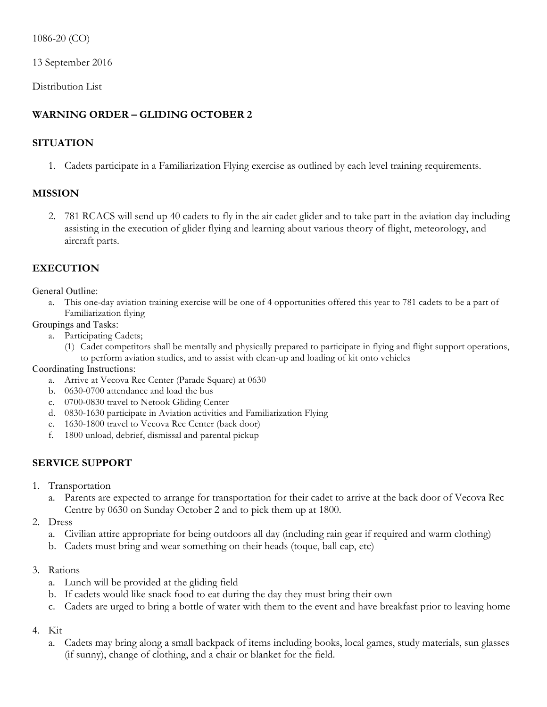1086-20 (CO)

13 September 2016

Distribution List

# **WARNING ORDER – GLIDING OCTOBER 2**

## **SITUATION**

1. Cadets participate in a Familiarization Flying exercise as outlined by each level training requirements.

## **MISSION**

2. 781 RCACS will send up 40 cadets to fly in the air cadet glider and to take part in the aviation day including assisting in the execution of glider flying and learning about various theory of flight, meteorology, and aircraft parts.

## **EXECUTION**

#### General Outline:

a. This one-day aviation training exercise will be one of 4 opportunities offered this year to 781 cadets to be a part of Familiarization flying

#### Groupings and Tasks:

- a. Participating Cadets;
	- (1) Cadet competitors shall be mentally and physically prepared to participate in flying and flight support operations, to perform aviation studies, and to assist with clean-up and loading of kit onto vehicles

#### Coordinating Instructions:

- a. Arrive at Vecova Rec Center (Parade Square) at 0630
- b. 0630-0700 attendance and load the bus
- c. 0700-0830 travel to Netook Gliding Center
- d. 0830-1630 participate in Aviation activities and Familiarization Flying
- e. 1630-1800 travel to Vecova Rec Center (back door)
- f. 1800 unload, debrief, dismissal and parental pickup

## **SERVICE SUPPORT**

- 1. Transportation
	- a. Parents are expected to arrange for transportation for their cadet to arrive at the back door of Vecova Rec Centre by 0630 on Sunday October 2 and to pick them up at 1800.
- 2. Dress
	- a. Civilian attire appropriate for being outdoors all day (including rain gear if required and warm clothing)
	- b. Cadets must bring and wear something on their heads (toque, ball cap, etc)

#### 3. Rations

- a. Lunch will be provided at the gliding field
- b. If cadets would like snack food to eat during the day they must bring their own
- c. Cadets are urged to bring a bottle of water with them to the event and have breakfast prior to leaving home

#### 4. Kit

a. Cadets may bring along a small backpack of items including books, local games, study materials, sun glasses (if sunny), change of clothing, and a chair or blanket for the field.